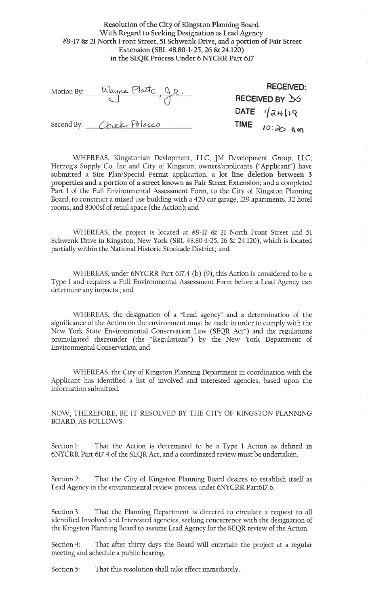Resolution of the City of Kingston Planning Board With Regard to Seeking Designation as Lead Agency #9-17 & 21 North Front Street, 51 Schwenk Drive, and a portion of Fair Street Extension (SBL 48.80-1-25, 26 & 24.120) in the SEQR Process Under 6 NYCRR Part 617

| Motion By: | Wayne Platte QR.         | <b>RECEIVED:</b>                               |  |  |
|------------|--------------------------|------------------------------------------------|--|--|
|            |                          | RECEIVED BY 35                                 |  |  |
|            |                          | DATE $\frac{1}{2}$ $\frac{1}{2}$ $\frac{1}{2}$ |  |  |
|            | Second By: Chuck Polacco | TIME $10:30$ AM                                |  |  |

WHEREAS, Kingstonian Devlopment, LLC, JM Development Group, LLC; Herzog's Supply Co. Inc and City of Kingston; owners/applicants ("Applicant") have submitted a Site Plan/Special Permit application, a lot line deletion between 3 properties and a portion of a street known as Fair Street Extension; and a completed Part I of the Full Environmental Assessment Form, to the City of Kingston Planning Board, to construct a mixed use building with a 420 car garage, 129 apartments, 32 hotel rooms, and 8000sf of retail space (the Action); and

WHEREAS, the project is located at #9-17 & 21 North Front Street and 51 Schwenk Drive in Kingston, New York (SBL 48.80-1-25, 26 & 24.120), which is located partially within the National Historic Stockade District; and

WHEREAS, under 6NYCRR Part 617.4 (b) (9), this Action is considered to be a Type I and requires a Full Environmental Assessment Form before a Lead Agency can determine any impacts; and

WHEREAS, the designation of a "Lead agency" and a determination of the significance of the Action on the environment must be made in order to comply with the New York State Environmental Conservation Law (SEQR Act") and the regulations promulgated thereunder (the "Regulations") by the New York Department of Environmental Conservation; and

WHEREAS, the City of Kingston Planning Department in coordination with the Applicant has identified a list of involved and interested agencies, based upon the information submitted.

NOW, THEREFORE, BE IT RESOLVED BY THE CITY OF KINGSTON PLANNING **BOARD, AS FOLLOWS:** 

Section 1: That the Action is determined to be a Type I Action as defined in 6NYCRR Part 617.4 of the SEQR Act, and a coordinated review must be undertaken.

That the City of Kingston Planning Board desires to establish itself as Section 2: Lead Agency in the environmental review process under 6NYCRR Part617.6.

That the Planning Department is directed to circulate a request to all Section 3: identified Involved and Interested agencies, seeking concurrence with the designation of the Kingston Planning Board to assume Lead Agency for the SEQR review of the Action.

Section 4: That after thirty days the Board will entertain the project at a regular meeting and schedule a public hearing.

That this resolution shall take effect immediately. Section 5: